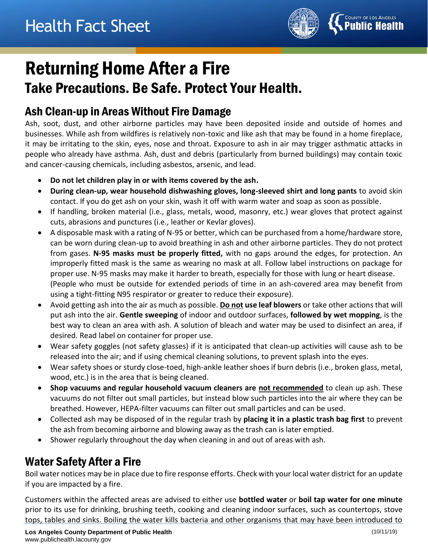

# Returning Home After a Fire Take Precautions. Be Safe. Protect Your Health.

#### Ash Clean-up in Areas Without Fire Damage

Ash, soot, dust, and other airborne particles may have been deposited inside and outside of homes and businesses. While ash from wildfires is relatively non-toxic and like ash that may be found in a home fireplace, it may be irritating to the skin, eyes, nose and throat. Exposure to ash in air may trigger asthmatic attacks in people who already have asthma. Ash, dust and debris (particularly from burned buildings) may contain toxic and cancer-causing chemicals, including asbestos, arsenic, and lead.

- **Do not let children play in or with items covered by the ash.**
- **During clean-up, wear household dishwashing gloves, long-sleeved shirt and long pants** to avoid skin contact. If you do get ash on your skin, wash it off with warm water and soap as soon as possible.
- If handling, broken material (i.e., glass, metals, wood, masonry, etc.) wear gloves that protect against cuts, abrasions and punctures (i.e., leather or Kevlar gloves).
- A disposable mask with a rating of N-95 or better, which can be purchased from a home/hardware store, can be worn during clean-up to avoid breathing in ash and other airborne particles. They do not protect from gases. **N-95 masks must be properly fitted,** with no gaps around the edges, for protection. An improperly fitted mask is the same as wearing no mask at all. Follow label instructions on package for proper use. N-95 masks may make it harder to breath, especially for those with lung or heart disease. (People who must be outside for extended periods of time in an ash-covered area may benefit from using a tight-fitting N95 respirator or greater to reduce their exposure).
- Avoid getting ash into the air as much as possible. **Do not use leaf blowers** or take other actions that will put ash into the air. **Gentle sweeping** of indoor and outdoor surfaces, **followed by wet mopping**, is the best way to clean an area with ash. A solution of bleach and water may be used to disinfect an area, if desired. Read label on container for proper use.
- Wear safety goggles (not safety glasses) if it is anticipated that clean-up activities will cause ash to be released into the air; and if using chemical cleaning solutions, to prevent splash into the eyes.
- Wear safety shoes or sturdy close-toed, high-ankle leather shoes if burn debris (i.e., broken glass, metal, wood, etc.) is in the area that is being cleaned.
- **Shop vacuums and regular household vacuum cleaners are not recommended** to clean up ash. These vacuums do not filter out small particles, but instead blow such particles into the air where they can be breathed. However, HEPA-filter vacuums can filter out small particles and can be used.
- Collected ash may be disposed of in the regular trash by **placing it in a plastic trash bag first** to prevent the ash from becoming airborne and blowing away as the trash can is later emptied.
- Shower regularly throughout the day when cleaning in and out of areas with ash.

## Water Safety After a Fire

Boil water notices may be in place due to fire response efforts. Check with your local water district for an update if you are impacted by a fire.

Customers within the affected areas are advised to either use **bottled water** or **boil tap water for one minute** prior to its use for drinking, brushing teeth, cooking and cleaning indoor surfaces, such as countertops, stove tops, tables and sinks. Boiling the water kills bacteria and other organisms that may have been introduced to